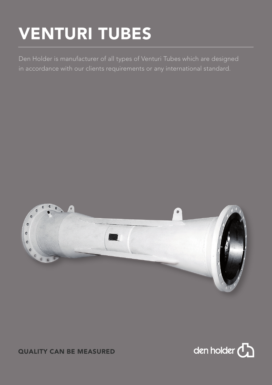## VENTURI TUBES

Den Holder is manufacturer of all types of Venturi Tubes which are designed in accordance with our clients requirements or any international standard.



## QUALITY CAN BE MEASURED